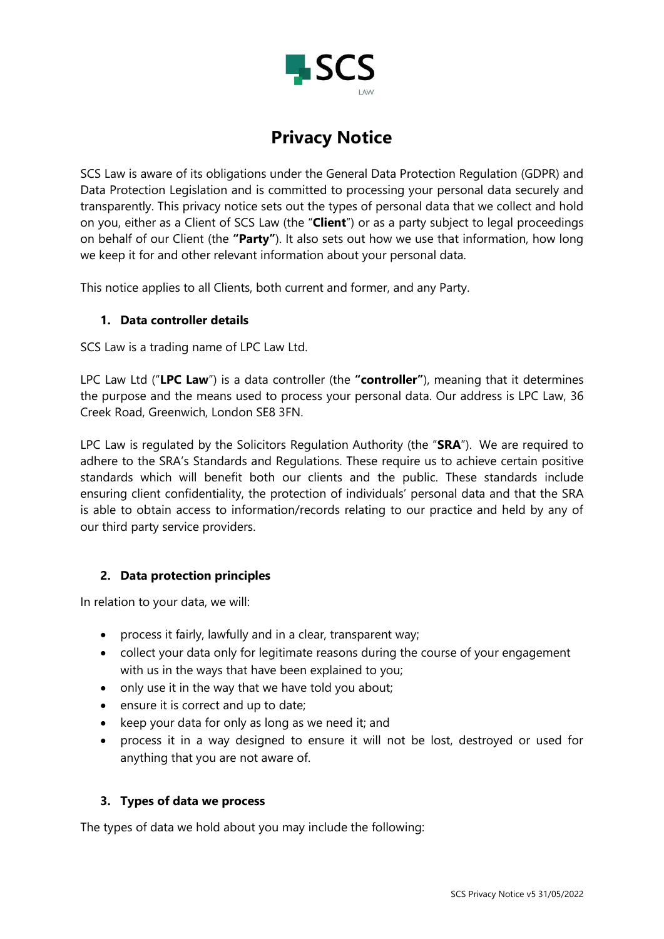

SCS Law is aware of its obligations under the General Data Protection Regulation (GDPR) and Data Protection Legislation and is committed to processing your personal data securely and transparently. This privacy notice sets out the types of personal data that we collect and hold on you, either as a Client of SCS Law (the "**Client**") or as a party subject to legal proceedings on behalf of our Client (the **"Party"**). It also sets out how we use that information, how long we keep it for and other relevant information about your personal data.

This notice applies to all Clients, both current and former, and any Party.

#### **1. Data controller details**

SCS Law is a trading name of LPC Law Ltd.

LPC Law Ltd ("**LPC Law**") is a data controller (the **"controller"**), meaning that it determines the purpose and the means used to process your personal data. Our address is LPC Law, 36 Creek Road, Greenwich, London SE8 3FN.

LPC Law is regulated by the Solicitors Regulation Authority (the "**SRA**"). We are required to adhere to the SRA's Standards and Regulations. These require us to achieve certain positive standards which will benefit both our clients and the public. These standards include ensuring client confidentiality, the protection of individuals' personal data and that the SRA is able to obtain access to information/records relating to our practice and held by any of our third party service providers.

#### **2. Data protection principles**

In relation to your data, we will:

- process it fairly, lawfully and in a clear, transparent way;
- collect your data only for legitimate reasons during the course of your engagement with us in the ways that have been explained to you;
- only use it in the way that we have told you about;
- ensure it is correct and up to date;
- keep your data for only as long as we need it; and
- process it in a way designed to ensure it will not be lost, destroyed or used for anything that you are not aware of.

#### **3. Types of data we process**

The types of data we hold about you may include the following: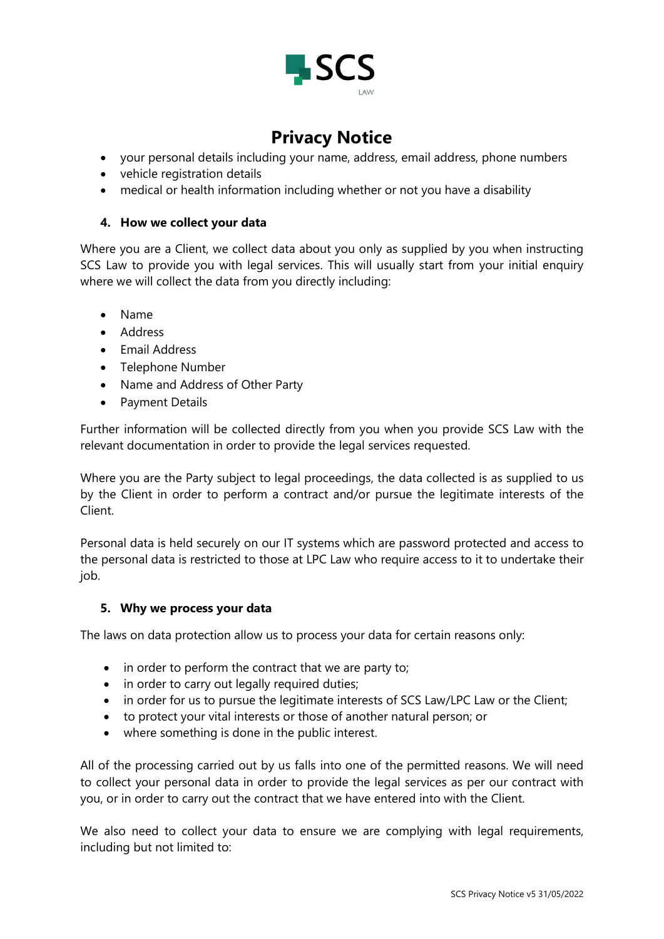

- your personal details including your name, address, email address, phone numbers
- vehicle registration details
- medical or health information including whether or not you have a disability

#### **4. How we collect your data**

Where you are a Client, we collect data about you only as supplied by you when instructing SCS Law to provide you with legal services. This will usually start from your initial enquiry where we will collect the data from you directly including:

- Name
- Address
- Email Address
- Telephone Number
- Name and Address of Other Party
- Payment Details

Further information will be collected directly from you when you provide SCS Law with the relevant documentation in order to provide the legal services requested.

Where you are the Party subject to legal proceedings, the data collected is as supplied to us by the Client in order to perform a contract and/or pursue the legitimate interests of the Client.

Personal data is held securely on our IT systems which are password protected and access to the personal data is restricted to those at LPC Law who require access to it to undertake their job.

#### **5. Why we process your data**

The laws on data protection allow us to process your data for certain reasons only:

- in order to perform the contract that we are party to;
- in order to carry out legally required duties;
- in order for us to pursue the legitimate interests of SCS Law/LPC Law or the Client;
- to protect your vital interests or those of another natural person; or
- where something is done in the public interest.

All of the processing carried out by us falls into one of the permitted reasons. We will need to collect your personal data in order to provide the legal services as per our contract with you, or in order to carry out the contract that we have entered into with the Client.

We also need to collect your data to ensure we are complying with legal requirements, including but not limited to: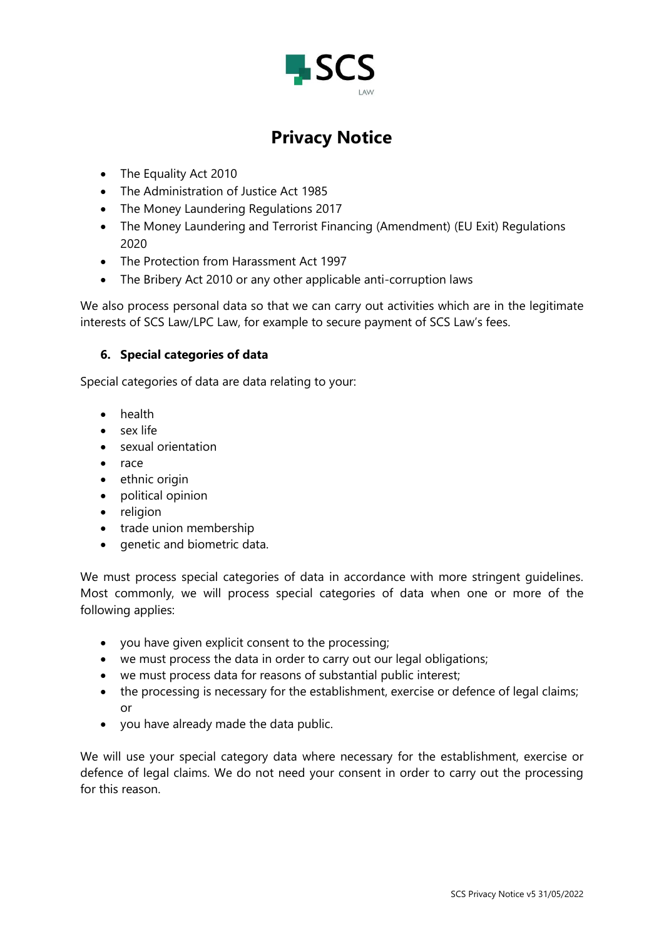

- The Equality Act 2010
- The Administration of Justice Act 1985
- The Money Laundering Regulations 2017
- The Money Laundering and Terrorist Financing (Amendment) (EU Exit) Regulations 2020
- The Protection from Harassment Act 1997
- The Bribery Act 2010 or any other applicable anti-corruption laws

We also process personal data so that we can carry out activities which are in the legitimate interests of SCS Law/LPC Law, for example to secure payment of SCS Law's fees.

### **6. Special categories of data**

Special categories of data are data relating to your:

- health
- sex life
- sexual orientation
- race
- ethnic origin
- political opinion
- religion
- trade union membership
- genetic and biometric data.

We must process special categories of data in accordance with more stringent guidelines. Most commonly, we will process special categories of data when one or more of the following applies:

- you have given explicit consent to the processing;
- we must process the data in order to carry out our legal obligations;
- we must process data for reasons of substantial public interest;
- the processing is necessary for the establishment, exercise or defence of legal claims; or
- you have already made the data public.

We will use your special category data where necessary for the establishment, exercise or defence of legal claims. We do not need your consent in order to carry out the processing for this reason.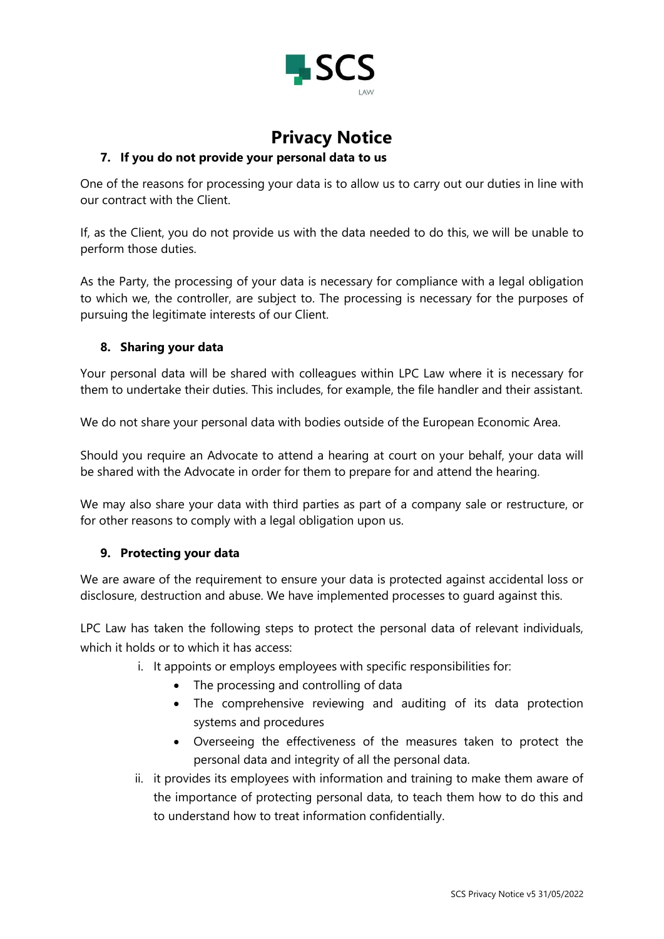

### **7. If you do not provide your personal data to us**

One of the reasons for processing your data is to allow us to carry out our duties in line with our contract with the Client.

If, as the Client, you do not provide us with the data needed to do this, we will be unable to perform those duties.

As the Party, the processing of your data is necessary for compliance with a legal obligation to which we, the controller, are subject to. The processing is necessary for the purposes of pursuing the legitimate interests of our Client.

#### **8. Sharing your data**

Your personal data will be shared with colleagues within LPC Law where it is necessary for them to undertake their duties. This includes, for example, the file handler and their assistant.

We do not share your personal data with bodies outside of the European Economic Area.

Should you require an Advocate to attend a hearing at court on your behalf, your data will be shared with the Advocate in order for them to prepare for and attend the hearing.

We may also share your data with third parties as part of a company sale or restructure, or for other reasons to comply with a legal obligation upon us.

#### **9. Protecting your data**

We are aware of the requirement to ensure your data is protected against accidental loss or disclosure, destruction and abuse. We have implemented processes to guard against this.

LPC Law has taken the following steps to protect the personal data of relevant individuals, which it holds or to which it has access:

- i. It appoints or employs employees with specific responsibilities for:
	- The processing and controlling of data
	- The comprehensive reviewing and auditing of its data protection systems and procedures
	- Overseeing the effectiveness of the measures taken to protect the personal data and integrity of all the personal data.
- ii. it provides its employees with information and training to make them aware of the importance of protecting personal data, to teach them how to do this and to understand how to treat information confidentially.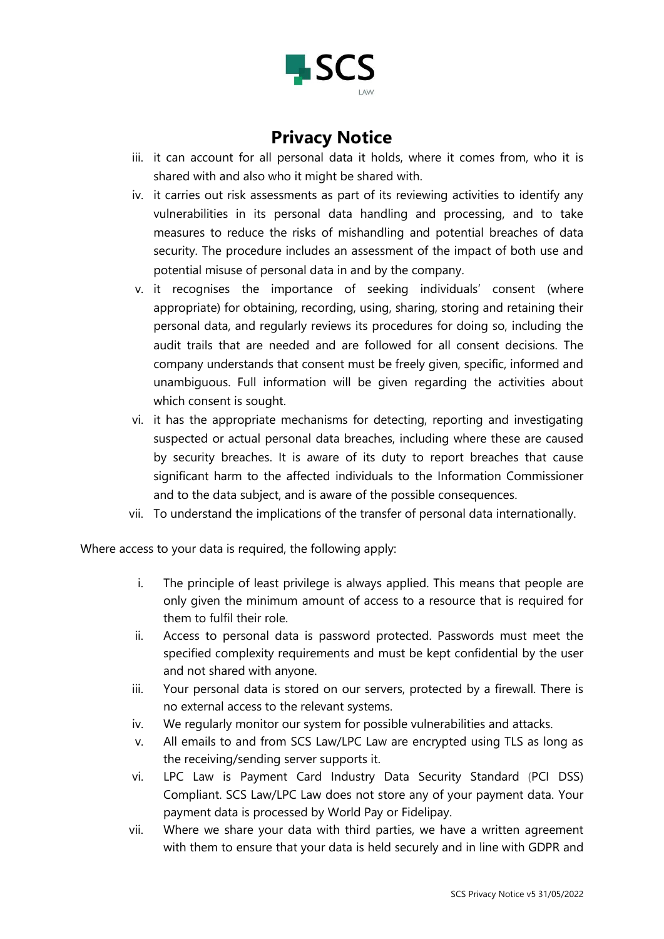

- iii. it can account for all personal data it holds, where it comes from, who it is shared with and also who it might be shared with.
- iv. it carries out risk assessments as part of its reviewing activities to identify any vulnerabilities in its personal data handling and processing, and to take measures to reduce the risks of mishandling and potential breaches of data security. The procedure includes an assessment of the impact of both use and potential misuse of personal data in and by the company.
- v. it recognises the importance of seeking individuals' consent (where appropriate) for obtaining, recording, using, sharing, storing and retaining their personal data, and regularly reviews its procedures for doing so, including the audit trails that are needed and are followed for all consent decisions. The company understands that consent must be freely given, specific, informed and unambiguous. Full information will be given regarding the activities about which consent is sought.
- vi. it has the appropriate mechanisms for detecting, reporting and investigating suspected or actual personal data breaches, including where these are caused by security breaches. It is aware of its duty to report breaches that cause significant harm to the affected individuals to the Information Commissioner and to the data subject, and is aware of the possible consequences.
- vii. To understand the implications of the transfer of personal data internationally.

Where access to your data is required, the following apply:

- i. The principle of least privilege is always applied. This means that people are only given the minimum amount of access to a resource that is required for them to fulfil their role.
- ii. Access to personal data is password protected. Passwords must meet the specified complexity requirements and must be kept confidential by the user and not shared with anyone.
- iii. Your personal data is stored on our servers, protected by a firewall. There is no external access to the relevant systems.
- iv. We regularly monitor our system for possible vulnerabilities and attacks.
- v. All emails to and from SCS Law/LPC Law are encrypted using TLS as long as the receiving/sending server supports it.
- vi. LPC Law is Payment Card Industry Data Security Standard (PCI DSS) Compliant. SCS Law/LPC Law does not store any of your payment data. Your payment data is processed by World Pay or Fidelipay.
- vii. Where we share your data with third parties, we have a written agreement with them to ensure that your data is held securely and in line with GDPR and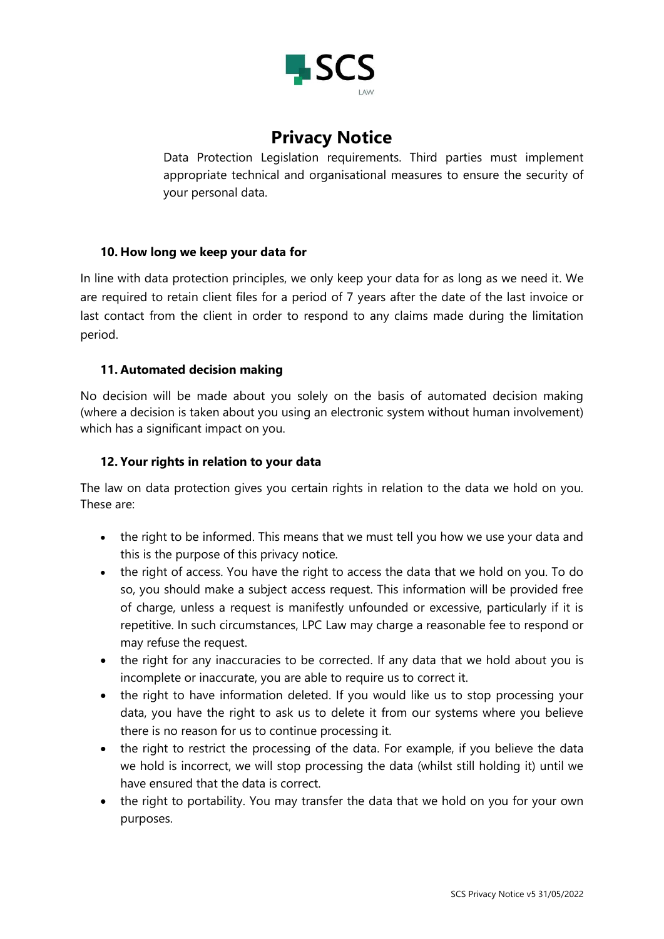

Data Protection Legislation requirements. Third parties must implement appropriate technical and organisational measures to ensure the security of your personal data.

#### **10. How long we keep your data for**

In line with data protection principles, we only keep your data for as long as we need it. We are required to retain client files for a period of 7 years after the date of the last invoice or last contact from the client in order to respond to any claims made during the limitation period.

#### **11. Automated decision making**

No decision will be made about you solely on the basis of automated decision making (where a decision is taken about you using an electronic system without human involvement) which has a significant impact on you.

#### **12. Your rights in relation to your data**

The law on data protection gives you certain rights in relation to the data we hold on you. These are:

- the right to be informed. This means that we must tell you how we use your data and this is the purpose of this privacy notice.
- the right of access. You have the right to access the data that we hold on you. To do so, you should make a subject access request. This information will be provided free of charge, unless a request is manifestly unfounded or excessive, particularly if it is repetitive. In such circumstances, LPC Law may charge a reasonable fee to respond or may refuse the request.
- the right for any inaccuracies to be corrected. If any data that we hold about you is incomplete or inaccurate, you are able to require us to correct it.
- the right to have information deleted. If you would like us to stop processing your data, you have the right to ask us to delete it from our systems where you believe there is no reason for us to continue processing it.
- the right to restrict the processing of the data. For example, if you believe the data we hold is incorrect, we will stop processing the data (whilst still holding it) until we have ensured that the data is correct.
- the right to portability. You may transfer the data that we hold on you for your own purposes.